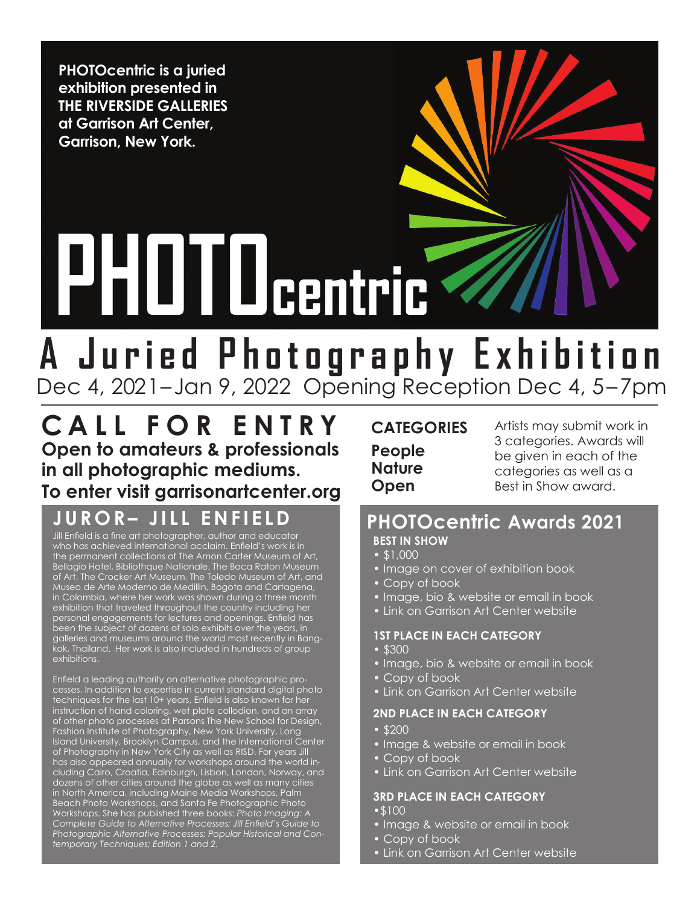**PHOTOcentric is a juried exhibition presented in THE RIVERSIDE GALLERIES at Garrison Art Center, Garrison, New York.** 

# **PHUTUcentric**

# **A Juried Photography Exhibition** Dec 4, 2021– Jan 9, 2022 Opening Reception Dec 4, 5–7pm

**Call for E ntr y Open to amateurs & professionals in all photographic mediums. To enter visit garrisonartcenter.org**

## **JUROR– JILL ENFIELD PHOTOcentric Awards 2021**

Jill Enfield is a fine art photographer, author and educator who has achieved international acclaim. Enfield's work is in the permanent collections of The Amon Carter Museum of Art, Bellagio Hotel, Bibliothque Nationale, The Boca Raton Museum of Art, The Crocker Art Museum, The Toledo Museum of Art, and Museo de Arte Moderno de Medillin, Bogota and Cartagena, in Colombia, where her work was shown during a three month exhibition that traveled throughout the country including her personal engagements for lectures and openings. Enfield has been the subject of dozens of solo exhibits over the years, in galleries and museums around the world most recently in Bangkok, Thailand. Her work is also included in hundreds of group exhibitions.

Enfield a leading authority on alternative photographic processes. In addition to expertise in current standard digital photo techniques for the last 10+ years, Enfield is also known for her instruction of hand coloring, wet plate collodion, and an array of other photo processes at Parsons The New School for Design, Fashion Institute of Photography, New York University, Long Island University, Brooklyn Campus, and the International Center of Photography in New York City as well as RISD. For years Jill has also appeared annually for workshops around the world including Cairo, Croatia, Edinburgh, Lisbon, London, Norway, and dozens of other cities around the globe as well as many cities in North America, including Maine Media Workshops, Palm Beach Photo Workshops, and Santa Fe Photographic Photo Workshops. She has published three books: *Photo Imaging: A Complete Guide to Alternative Processes; Jill Enfield's Guide to Photographic Alternative Processes: Popular Historical and Contemporary Techniques; Edition 1 and 2.*

#### **categories People Nature Open**

Artists may submit work in 3 categories. Awards will be given in each of the categories as well as a Best in Show award.

# **Best in Show**

- • \$1,000
- Image on cover of exhibition book
- Copy of book
- Image, bio & website or email in book
- **Link on Garrison Art Center website**

#### **1st Place in each category**

- \$300
- Image, bio & website or email in book
- Copy of book
- Link on Garrison Art Center website

#### **2nd Place in each category**

- • \$200
- Image & website or email in book
- Copy of book
- Link on Garrison Art Center website

#### **3rd Place in each category**

- •\$100
- Image & website or email in book
- Copy of book
- Link on Garrison Art Center website